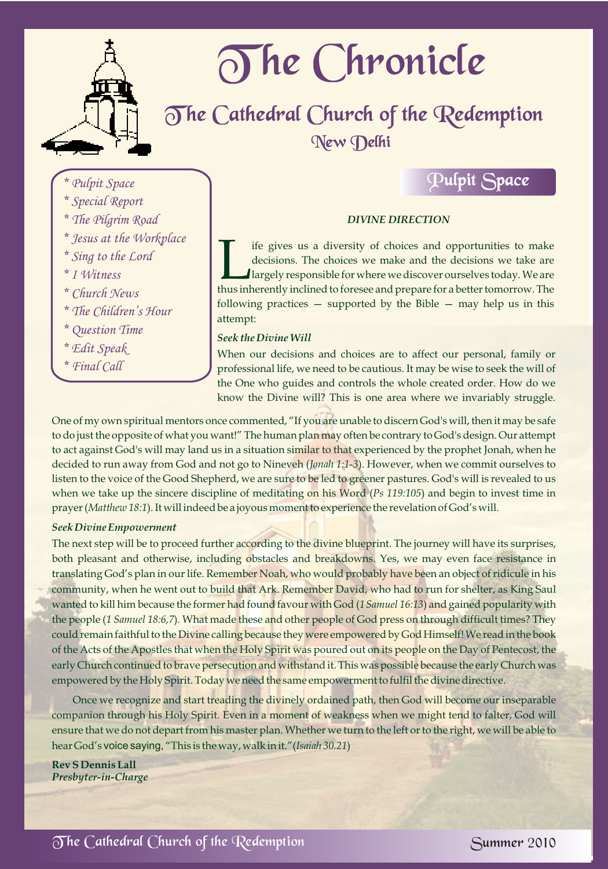

# The Chronicle

## The Cathedral Church of the Redemption New Delhi

*\* Pulpit Space*

- *\* Special Report*
- *\* The Pilgrim Road*
- *\* Jesus at the Workplace*
- *\* Sing to the Lord*
- *\* I Witness*
- *\* Church News*
- *\* The Children's Hour*
- *\* Question Time*
- *\* Edit Speak*
- *\* Final Call*

### *DIVINE DIRECTION*

Pulpit Space

If if gives us a diversity of choices and opportunities to make decisions. The choices we make and the decisions we take are largely responsible for where we discover ourselves today. We are thus inherently inclined to for largely responsible for where we discover ourselves today. We are thus inherently inclined to foresee and prepare for a better tomorrow. The following practices  $-$  supported by the Bible  $-$  may help us in this attempt:

#### *Seek the Divine Will*

When our decisions and choices are to affect our personal, family or professional life, we need to be cautious. It may be wise to seek the will of the One who guides and controls the whole created order. How do we know the Divine will? This is one area where we invariably struggle.

One of my own spiritual mentors once commented, "If you are unable to discern God's will, then it may be safe to do just the opposite of what you want!" The human plan may often be contrary to God's design. Our attempt to act against God's will may land us in a situation similar to that experienced by the prophet Jonah, when he decided to run away from God and not go to Nineveh (*Jonah 1:1-3*). However, when we commit ourselves to listen to the voice of the Good Shepherd, we are sure to be led to greener pastures. God's will is revealed to us when we take up the sincere discipline of meditating on his Word (*Ps 119:105*) and begin to invest time in prayer (*Matthew 18:1*). It will indeed be a joyous moment to experience the revelation of God's will.

#### *Seek Divine Empowerment*

The next step will be to proceed further according to the divine blueprint. The journey will have its surprises, both pleasant and otherwise, including obstacles and breakdowns. Yes, we may even face resistance in translating God's plan in our life. Remember Noah, who would probably have been an object of ridicule in his community, when he went out to build that Ark. Remember David, who had to run for shelter, as King Saul wanted to kill him because the former had found favour with God (*1Samuel 16:13*) and gained popularity with the people (*1 Samuel 18:6,7*). What made these and other people of God press on through difficult times? They could remain faithful to the Divine calling because they were empowered by God Himself! We read in the book of the Acts of the Apostles that when the Holy Spirit was poured out on its people on the Day of Pentecost, the early Church continued to brave persecution and withstand it. This was possible because the early Church was empowered by the Holy Spirit. Today we need the same empowerment to fulfil the divine directive.

Once we recognize and start treading the divinely ordained path, then God will become our inseparable companion through his Holy Spirit. Even in a moment of weakness when we might tend to falter, God will ensure that we do not depart from his master plan. Whether we turn to the left or to the right, we will be able to hear God's voice saying, "This is the way, walk in it."(*Isaiah 30.21*)

**Rev S Dennis Lall** *Presbyter-in-Charge*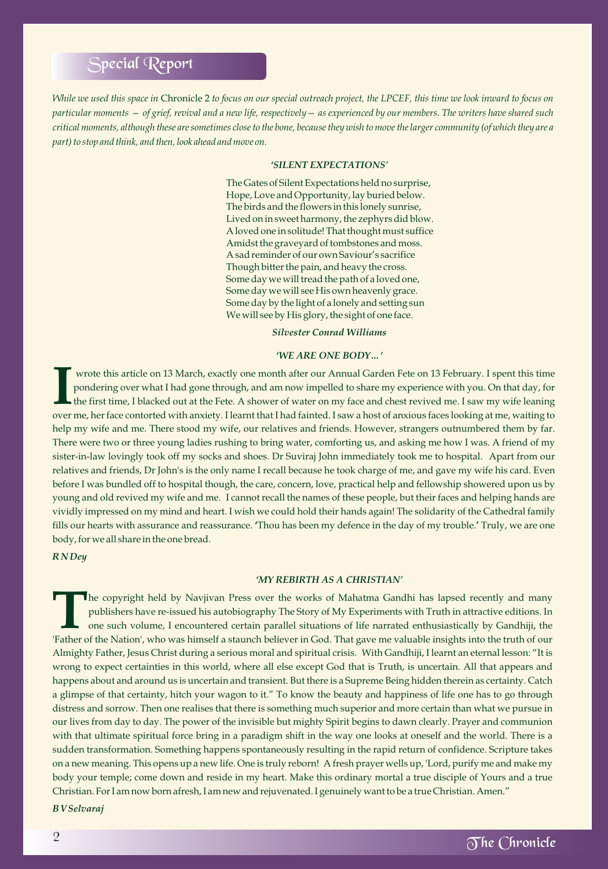## Special Report

*While we used this space in* Chronicle 2 *to focus on our special outreach project, the LPCEF, this time we look inward to focus on particular moments — of grief, revival and a new life, respectively— as experienced by our members. The writers have shared such critical moments, although these are sometimes close to the bone, because they wish to move the larger community (of which they are a part) to stop and think, and then, look ahead and move on.* 

#### *'SILENT EXPECTATIONS'*

The Gates of Silent Expectations held no surprise, Hope, Love and Opportunity, lay buried below. The birds and the flowers in this lonely sunrise, Lived on in sweet harmony, the zephyrs did blow. A loved one in solitude! That thought must suffice Amidst the graveyard of tombstones and moss. A sad reminder of our own Saviour's sacrifice Though bitter the pain, and heavy the cross. Some day we will tread the path of a loved one, Some day we will see His own heavenly grace. Some day by the light of a lonely and setting sun We will see by His glory, the sight of one face.

*Silvester Conrad Williams*

#### *'WE ARE ONE BODY…'*

 wrote this article on 13 March, exactly one month after our Annual Garden Fete on 13 February. I spent this time pondering over what I had gone through, and am now impelled to share my experience with you. On that day, for<br>the first time, I blacked out at the Fete. A shower of water on my face and chest revived me. I saw my wife lean over me, her face contorted with anxiety. I learnt that I had fainted. I saw a host of anxious faces looking at me, waiting to help my wife and me. There stood my wife, our relatives and friends. However, strangers outnumbered them by far. There were two or three young ladies rushing to bring water, comforting us, and asking me how I was. A friend of my sister-in-law lovingly took off my socks and shoes. Dr Suviraj John immediately took me to hospital. Apart from our relatives and friends, Dr John's is the only name I recall because he took charge of me, and gave my wife his card. Even before I was bundled off to hospital though, the care, concern, love, practical help and fellowship showered upon us by young and old revived my wife and me. I cannot recall the names of these people, but their faces and helping hands are vividly impressed on my mind and heart. I wish we could hold their hands again! The solidarity of the Cathedral family fills our hearts with assurance and reassurance. **'**Thou has been my defence in the day of my trouble.**'** Truly, we are one body, for we all share in the one bread.

*R N Dey*

#### *'MY REBIRTH AS A CHRISTIAN'*

The copyright held by Navjivan Press over the works of Mahatma Gandhi has lapsed recently and many publishers have re-issued his autobiography The Story of My Experiments with Truth in attractive editions. In one such volume, I encountered certain parallel situations of life narrated enthusiastically by Gandhiji, the 'Father of the Nation', who was himself a staunch believer in God. That gave me valuable insights into the truth of our Almighty Father, Jesus Christ during a serious moral and spiritual crisis. With Gandhiji, I learnt an eternal lesson: "It is wrong to expect certainties in this world, where all else except God that is Truth, is uncertain. All that appears and happens about and around us is uncertain and transient. But there is a Supreme Being hidden therein as certainty. Catch a glimpse of that certainty, hitch your wagon to it." To know the beauty and happiness of life one has to go through distress and sorrow. Then one realises that there is something much superior and more certain than what we pursue in our lives from day to day. The power of the invisible but mighty Spirit begins to dawn clearly. Prayer and communion with that ultimate spiritual force bring in a paradigm shift in the way one looks at oneself and the world. There is a sudden transformation. Something happens spontaneously resulting in the rapid return of confidence. Scripture takes on a new meaning. This opens up a new life. One is truly reborn! A fresh prayer wells up, 'Lord, purify me and make my body your temple; come down and reside in my heart. Make this ordinary mortal a true disciple of Yours and a true Christian. For I am now born afresh, I am new and rejuvenated. I genuinely want to be a true Christian. Amen."

*B V Selvaraj*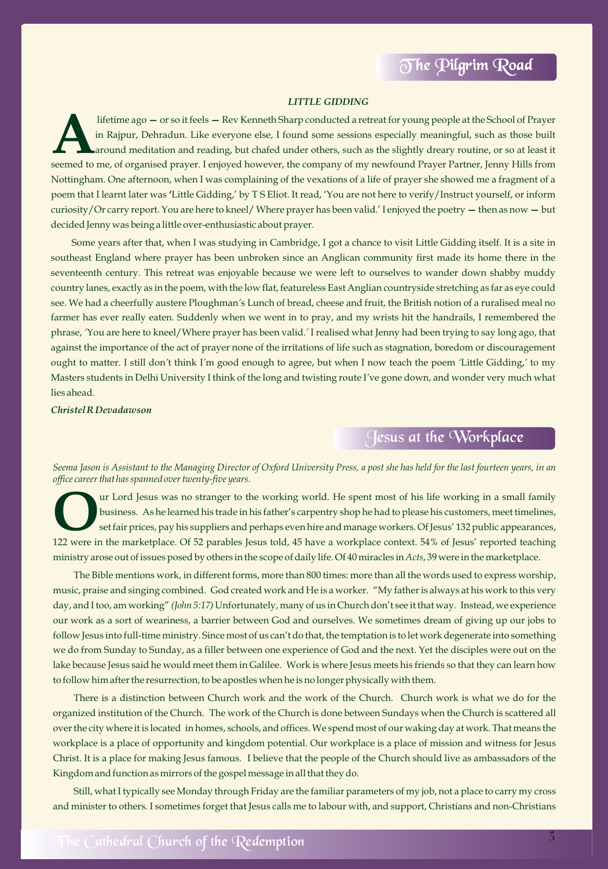#### *LITTLE GIDDING*

lifetime ago — or so it feels — Rev Kenneth Sharp conducted a retreat for young people at the School of Prayer<br>in Rajpur, Dehradun. Like everyone else, I found some sessions especially meaningful, such as those built around meditation and reading, but chafed under others, such as the slightly dreary routine, or so at least it seemed to me, of organised prayer. I enjoyed however, the company of my newfound Prayer Partner, Jenny Hills from Nottingham. One afternoon, when I was complaining of the vexations of a life of prayer she showed me a fragment of a poem that I learnt later was **'**Little Gidding,' by T S Eliot. It read, 'You are not here to verify/Instruct yourself, or inform curiosity/Or carry report. You are here to kneel/ Where prayer has been valid.' I enjoyed the poetry **—**then as now **—**but decided Jenny was being a little over-enthusiastic about prayer.

Some years after that, when I was studying in Cambridge, I got a chance to visit Little Gidding itself. It is a site in southeast England where prayer has been unbroken since an Anglican community first made its home there in the seventeenth century. This retreat was enjoyable because we were left to ourselves to wander down shabby muddy country lanes, exactly as in the poem, with the low flat, featureless East Anglian countryside stretching as far as eye could see. We had a cheerfully austere Ploughman*'*s Lunch of bread, cheese and fruit, the British notion of a ruralised meal no farmer has ever really eaten*.* Suddenly when we went in to pray, and my wrists hit the handrails, I remembered the phrase, *'*You are here to kneel/Where prayer has been valid.*'* I realised what Jenny had been trying to say long ago, that against the importance of the act of prayer none of the irritations of life such as stagnation, boredom or discouragement ought to matter. I still don*'*t think I*'*m good enough to agree, but when I now teach the poem *'*Little Gidding,*'* to my Masters students in Delhi University I think of the long and twisting route I*'*ve gone down, and wonder very much what lies ahead.

*Christel R Devadawson*

## Jesus at the Workplace

*Seema Jason is Assistant to the Managing Director of Oxford University Press, a post she has held for the last fourteen years, in an office career that has spanned over twenty-five years.*

ur Lord Jesus was no stranger to the working world. He spent most of his life working in a small family business. As he learned his trade in his father's carpentry shop he had to please his customers, meet timelines, set fair prices, pay his suppliers and perhaps even hire and manage workers. Of Jesus' 132 public appearances, 122 were in the marketplace. Of 52 parables Jesus told, 45 have a workplace context. 54% of Jesus' reported teaching ministry arose out of issues posed by others in the scope of daily life. Of 40 miracles in *Acts*, 39 were in the marketplace.

The Bible mentions work, in different forms, more than 800 times: more than all the words used to express worship, music, praise and singing combined. God created work and He is a worker. "My father is always at his work to this very day, and I too, am working" *(John 5:17)* Unfortunately, many of us in Church don't see it that way. Instead, we experience our work as a sort of weariness, a barrier between God and ourselves. We sometimes dream of giving up our jobs to follow Jesus into full-time ministry. Since most of us can't do that, the temptation is to let work degenerate into something we do from Sunday to Sunday, as a filler between one experience of God and the next. Yet the disciples were out on the lake because Jesus said he would meet them in Galilee. Work is where Jesus meets his friends so that they can learn how to follow him after the resurrection, to be apostles when he is no longer physically with them.

There is a distinction between Church work and the work of the Church. Church work is what we do for the organized institution of the Church. The work of the Church is done between Sundays when the Church is scattered all over the city where it is located in homes, schools, and offices. We spend most of our waking day at work. That means the workplace is a place of opportunity and kingdom potential. Our workplace is a place of mission and witness for Jesus Christ. It is a place for making Jesus famous. I believe that the people of the Church should live as ambassadors of the Kingdom and function as mirrors of the gospel message in all that they do.

Still, what I typically see Monday through Friday are the familiar parameters of my job, not a place to carry my cross and minister to others. I sometimes forget that Jesus calls me to labour with, and support, Christians and non-Christians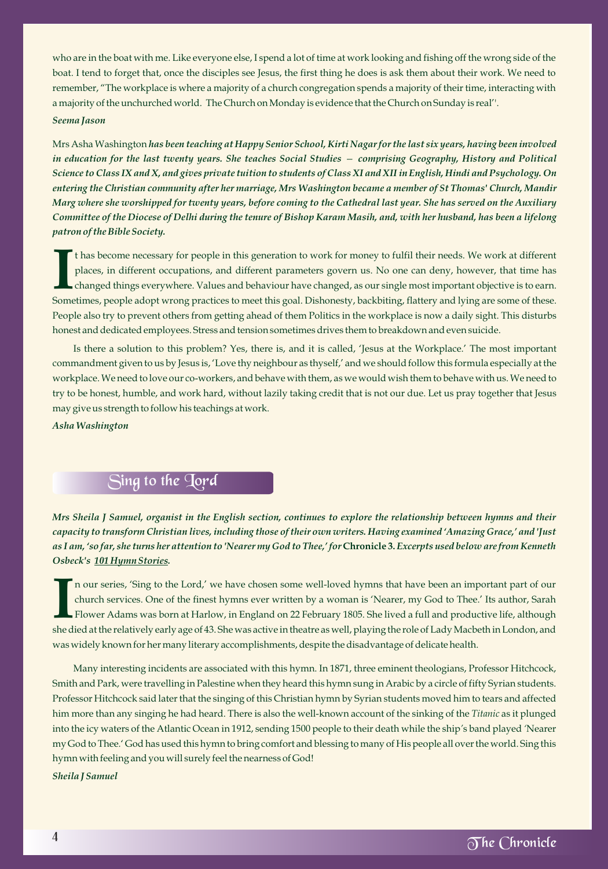who are in the boat with me. Like everyone else, I spend a lot of time at work looking and fishing off the wrong side of the boat. I tend to forget that, once the disciples see Jesus, the first thing he does is ask them about their work. We need to remember, "The workplace is where a majority of a church congregation spends a majority of their time, interacting with a majority of the unchurched world. The Church on Monday is evidence that the Church on Sunday is real''. *Seema Jason*

Mrs Asha Washington *has been teaching at Happy Senior School, Kirti Nagar for the last six years, having been involved in education for the last twenty years. She teaches Social Studies — comprising Geography, History and Political Science to Class IX and X, and gives private tuition to students of Class XI and XII in English, Hindi and Psychology. On entering the Christian community after her marriage, Mrs Washington became a member of St Thomas' Church, Mandir Marg where she worshipped for twenty years, before coming to the Cathedral last year. She has served on the Auxiliary Committee of the Diocese of Delhi during the tenure of Bishop Karam Masih, and, with her husband, has been a lifelong patron of the Bible Society.*

t has become necessary for people in this generation to work for money to fulfil their needs. We work at different places, in different occupations, and different parameters govern us. No one can deny, however, that time has<br>changed things everywhere. Values and behaviour have changed, as our single most important objective is to earn. Sometimes, people adopt wrong practices to meet this goal. Dishonesty, backbiting, flattery and lying are some of these. People also try to prevent others from getting ahead of them Politics in the workplace is now a daily sight. This disturbs honest and dedicated employees. Stress and tension sometimes drives them to breakdown and even suicide.

Is there a solution to this problem? Yes, there is, and it is called, 'Jesus at the Workplace.' The most important commandment given to us by Jesus is, 'Love thy neighbour as thyself,' and we should follow this formula especially at the workplace. We need to love our co-workers, and behave with them, as we would wish them to behave with us. We need to try to be honest, humble, and work hard, without lazily taking credit that is not our due. Let us pray together that Jesus may give us strength to follow his teachings at work.

*Asha Washington*

## Sing to the Jord

*Mrs Sheila J Samuel, organist in the English section, continues to explore the relationship between hymns and their capacity to transform Christian lives, including those of their own writers. Having examined 'Amazing Grace,' and 'Just as I am, 'so far, she turns her attention to 'Nearer my God to Thee,' for* **Chronicle 3.** *Excerpts used below are from Kenneth Osbeck's 101 Hymn Stories.*

n our series, 'Sing to the Lord,' we have chosen some well-loved hymns that have been an important part of our church services. One of the finest hymns ever written by a woman is 'Nearer, my God to Thee.' Its author, Sarah<br>Flower Adams was born at Harlow, in England on 22 February 1805. She lived a full and productive life, althoug she died at the relatively early age of 43. She was active in theatre as well, playing the role of Lady Macbeth in London, and was widely known for her many literary accomplishments, despite the disadvantage of delicate health.

Many interesting incidents are associated with this hymn. In 1871, three eminent theologians, Professor Hitchcock, Smith and Park, were travelling in Palestine when they heard this hymn sung in Arabic by a circle of fifty Syrian students. Professor Hitchcock said later that the singing of this Christian hymn by Syrian students moved him to tears and affected him more than any singing he had heard. There is also the well-known account of the sinking of the *Titanic* as it plunged into the icy waters of the Atlantic Ocean in 1912, sending 1500 people to their death while the ship*'*s band played *'*Nearer my God to Thee*.*' God has used this hymn to bring comfort and blessing to many of His people all over the world. Sing this hymn with feeling and you will surely feel the nearness of God!

*Sheila J Samuel*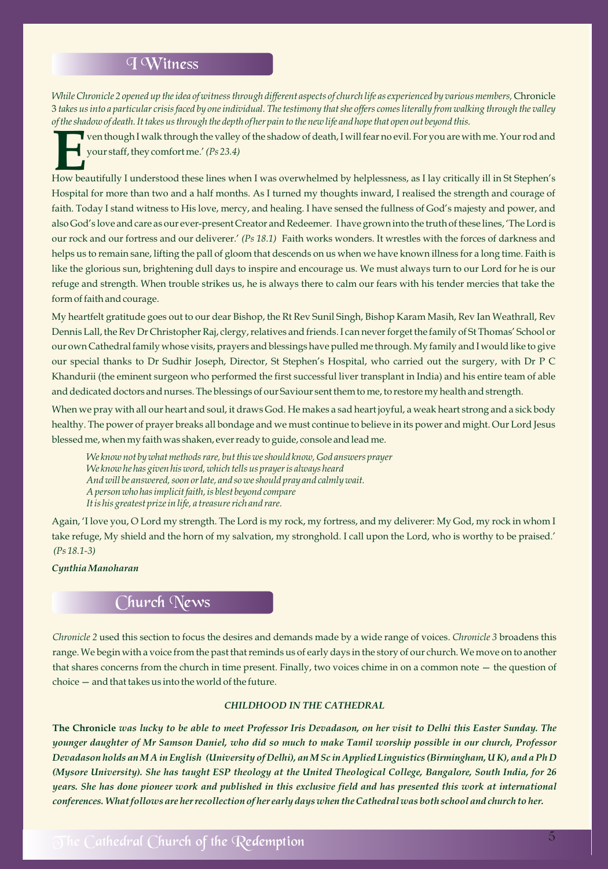#### I Witness

*While Chronicle 2 opened up the idea of witness through different aspects of church life as experienced by various members,* Chronicle 3 *takes us into a particular crisis faced by one individual. The testimony that she offers comes literally from walking through the valley of the shadow of death. It takes us through the depth of her pain to the new life and hope that open out beyond this.*

■ ven though I walk through the valley of the shadow of death, I will fear no evil. For you are with me. Your rod and<br>★ your staff, they comfort me.' *(Ps 23.4)* 

How beautifully I understood these lines when I was overwhelmed by helplessness, as I lay critically ill in St Stephen's Hospital for more than two and a half months. As I turned my thoughts inward, I realised the strength and courage of faith. Today I stand witness to His love, mercy, and healing. I have sensed the fullness of God's majesty and power, and also God's love and care as our ever-present Creator and Redeemer. I have grown into the truth of these lines, 'The Lord is our rock and our fortress and our deliverer.' *(Ps 18.1)* Faith works wonders. It wrestles with the forces of darkness and helps us to remain sane, lifting the pall of gloom that descends on us when we have known illness for a long time. Faith is like the glorious sun, brightening dull days to inspire and encourage us. We must always turn to our Lord for he is our refuge and strength. When trouble strikes us, he is always there to calm our fears with his tender mercies that take the form of faith and courage.

My heartfelt gratitude goes out to our dear Bishop, the Rt Rev Sunil Singh, Bishop Karam Masih, Rev Ian Weathrall, Rev Dennis Lall, the Rev Dr Christopher Raj, clergy, relatives and friends. I can never forget the family of St Thomas' School or our own Cathedral family whose visits, prayers and blessings have pulled me through. My family and I would like to give our special thanks to Dr Sudhir Joseph, Director, St Stephen's Hospital, who carried out the surgery, with Dr P C Khandurii (the eminent surgeon who performed the first successful liver transplant in India) and his entire team of able and dedicated doctors and nurses. The blessings of our Saviour sent them to me, to restore my health and strength.

When we pray with all our heart and soul, it draws God. He makes a sad heart joyful, a weak heart strong and a sick body healthy. The power of prayer breaks all bondage and we must continue to believe in its power and might. Our Lord Jesus blessed me, when my faith was shaken, ever ready to guide, console and lead me.

*We know not by what methods rare, but this we should know, God answers prayer We know he has given his word, which tells us prayer is always heard And will be answered, soon or late, and so we should pray and calmly wait. A person who has implicit faith, is blest beyond compare It is his greatest prize in life, a treasure rich and rare.*

Again, 'I love you, O Lord my strength. The Lord is my rock, my fortress, and my deliverer: My God, my rock in whom I take refuge, My shield and the horn of my salvation, my stronghold. I call upon the Lord, who is worthy to be praised.' *(Ps 18.1-3)*

#### *Cynthia Manoharan*

## Church News

*Chronicle 2* used this section to focus the desires and demands made by a wide range of voices. *Chronicle 3* broadens this range. We begin with a voice from the past that reminds us of early days in the story of our church. We move on to another that shares concerns from the church in time present. Finally, two voices chime in on a common note — the question of choice — and that takes us into the world of the future.

#### *CHILDHOOD IN THE CATHEDRAL*

**The Chronicle** *was lucky to be able to meet Professor Iris Devadason, on her visit to Delhi this Easter Sunday. The younger daughter of Mr Samson Daniel, who did so much to make Tamil worship possible in our church, Professor Devadason holds an M A in English (University of Delhi), an M Sc in Applied Linguistics (Birmingham, U K), and a Ph D (Mysore University). She has taught ESP theology at the United Theological College, Bangalore, South India, for 26 years. She has done pioneer work and published in this exclusive field and has presented this work at international conferences. What follows are her recollection of her early days when the Cathedral was both school and church to her.*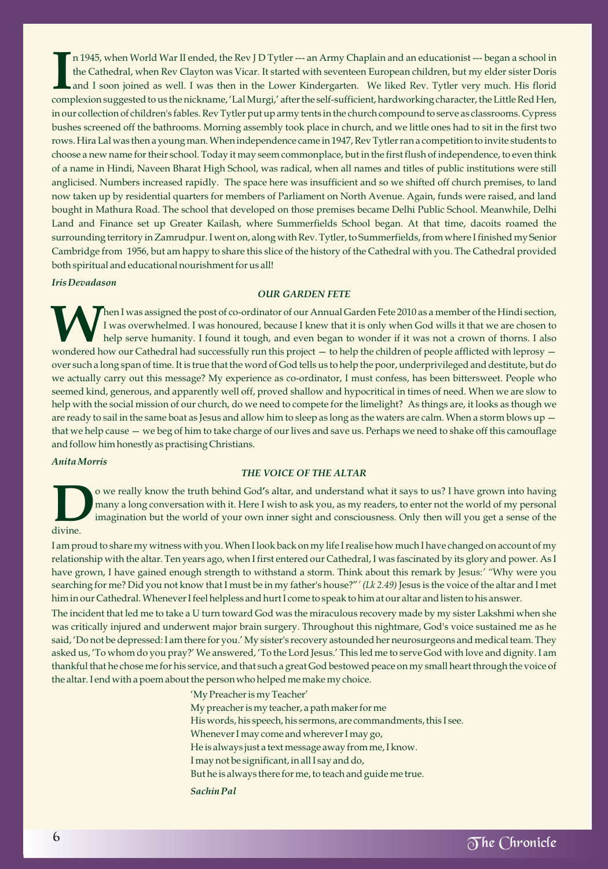n 1945, when World War II ended, the Rev J D Tytler --- an Army Chaplain and an educationist --- began a school in the Cathedral, when Rev Clayton was Vicar. It started with seventeen European children, but my elder sister complexion suggested to us the nickname, 'Lal Murgi,' after the self-sufficient, hardworking character, the Little Red Hen, in our collection of children's fables. Rev Tytler put up army tents in the church compound to serve as classrooms. Cypress bushes screened off the bathrooms. Morning assembly took place in church, and we little ones had to sit in the first two rows. Hira Lal was then a young man. When independence came in 1947, Rev Tytler ran a competition to invite students to choose a new name for their school. Today it may seem commonplace, but in the first flush of independence, to even think of a name in Hindi, Naveen Bharat High School, was radical, when all names and titles of public institutions were still anglicised. Numbers increased rapidly. The space here was insufficient and so we shifted off church premises, to land now taken up by residential quarters for members of Parliament on North Avenue. Again, funds were raised, and land bought in Mathura Road. The school that developed on those premises became Delhi Public School. Meanwhile, Delhi Land and Finance set up Greater Kailash, where Summerfields School began. At that time, dacoits roamed the surrounding territory in Zamrudpur. I went on, along with Rev. Tytler, to Summerfields, from where I finished my Senior Cambridge from 1956, but am happy to share this slice of the history of the Cathedral with you. The Cathedral provided both spiritual and educational nourishment for us all!

#### *Iris Devadason*

#### *OUR GARDEN FETE*

Then I was assigned the post of co-ordinator of our Annual Garden Fete 2010 as a member of the Hindi section, I was overwhelmed. I was honoured, because I knew that it is only when God wills it that we are chosen to help serve humanity. I found it tough, and even began to wonder if it was not a crown of thorns. I also wondered how our Cathedral had successfully run this project - to help the children of people afflicted with leprosy over such a long span of time. It is true that the word of God tells us to help the poor, underprivileged and destitute, but do we actually carry out this message? My experience as co-ordinator, I must confess, has been bittersweet. People who seemed kind, generous, and apparently well off, proved shallow and hypocritical in times of need. When we are slow to help with the social mission of our church, do we need to compete for the limelight? As things are, it looks as though we are ready to sail in the same boat as Jesus and allow him to sleep as long as the waters are calm. When a storm blows up that we help cause — we beg of him to take charge of our lives and save us. Perhaps we need to shake off this camouflage and follow him honestly as practising Christians.

#### *Anita Morris*

#### *THE VOICE OF THE ALTAR*

o we really know the truth behind God's altar, and understand what it says to us? I have grown into having<br>many a long conversation with it. Here I wish to ask you, as my readers, to enter not the world of my personal imagination but the world of your own inner sight and consciousness. Only then will you get a sense of the divine.

#### I am proud to share my witness with you. When I look back on my life I realise how much I have changed on account of my relationship with the altar. Ten years ago, when I first entered our Cathedral, I was fascinated by its glory and power. As I have grown, I have gained enough strength to withstand a storm. Think about this remark by Jesus:*' "*Why were you searching for me? Did you not know that I must be in my father's house?"*' (Lk 2.49)* Jesus is the voice of the altar and I met him in our Cathedral. Whenever I feel helpless and hurt I come to speak to him at our altar and listen to his answer.

The incident that led me to take a U turn toward God was the miraculous recovery made by my sister Lakshmi when she was critically injured and underwent major brain surgery. Throughout this nightmare, God's voice sustained me as he said, 'Do not be depressed: I am there for you.' My sister's recovery astounded her neurosurgeons and medical team. They asked us, 'To whom do you pray?' We answered, 'To the Lord Jesus.' This led me to serve God with love and dignity. I am thankful that he chose me for his service, and that such a great God bestowed peace on my small heart through the voice of the altar. I end with a poem about the person who helped me make my choice.

> 'My Preacher is my Teacher' My preacher is my teacher, a path maker for me His words, his speech, his sermons, are commandments, this I see. Whenever I may come and wherever I may go, He is always just a text message away from me, I know. I may not be significant, in all I say and do, But he is always there for me, to teach and guide me true. *Sachin Pal*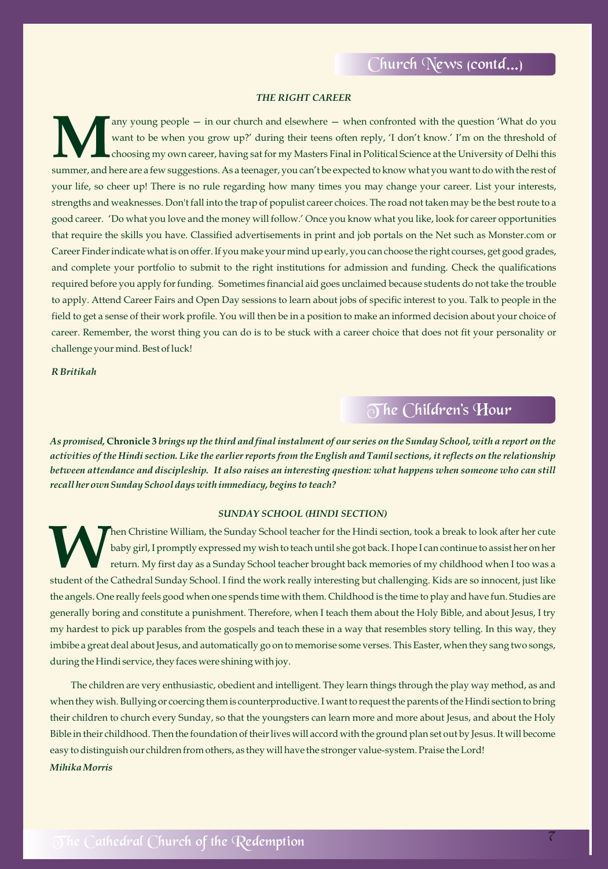#### *THE RIGHT CAREER*

want to be when you grow up?' during their teens often reply, 'I don't know.' I'm on the threshold of choosing my own career, having sat for my Masters Final in Political Science at the University of Delhi this summer, and here are a few suggestions. As a teenager, you can't be expected to know what you want to do with the rest of your life, so cheer up! There is no rule regarding how many times you may change your career. List your interests, strengths and weaknesses. Don't fall into the trap of populist career choices. The road not taken may be the best route to a good career. 'Do what you love and the money will follow.' Once you know what you like, look for career opportunities that require the skills you have. Classified advertisements in print and job portals on the Net such as Monster.com or Career Finder indicate what is on offer. If you make your mind up early, you can choose the right courses, get good grades, and complete your portfolio to submit to the right institutions for admission and funding. Check the qualifications required before you apply for funding. Sometimes financial aid goes unclaimed because students do not take the trouble to apply. Attend Career Fairs and Open Day sessions to learn about jobs of specific interest to you. Talk to people in the field to get a sense of their work profile. You will then be in a position to make an informed decision about your choice of career. Remember, the worst thing you can do is to be stuck with a career choice that does not fit your personality or challenge your mind. Best of luck! any young people - in our church and elsewhere - when confronted with the question 'What do you

*R Britikah*

## T he Children's Hour

*As promised,* **Chronicle 3** *brings up the third and final instalment of our series on the Sunday School, with a report on the activities of the Hindi section. Like the earlier reports from the English and Tamil sections, it reflects on the relationship between attendance and discipleship. It also raises an interesting question: what happens when someone who can still recall her own Sunday School days with immediacy, begins to teach?*

#### *SUNDAY SCHOOL (HINDI SECTION)*

Then Christine William, the Sunday School teacher for the Hindi section, took a break to look after her cute<br>baby girl, I promptly expressed my wish to teach until she got back. I hope I can continue to assist her on her return. My first day as a Sunday School teacher brought back memories of my childhood when I too was a student of the Cathedral Sunday School. I find the work really interesting but challenging. Kids are so innocent, just like the angels. One really feels good when one spends time with them. Childhood is the time to play and have fun. Studies are generally boring and constitute a punishment. Therefore, when I teach them about the Holy Bible, and about Jesus, I try my hardest to pick up parables from the gospels and teach these in a way that resembles story telling. In this way, they imbibe a great deal about Jesus, and automatically go on to memorise some verses. This Easter, when they sang two songs, during the Hindi service, they faces were shining with joy.

The children are very enthusiastic, obedient and intelligent. They learn things through the play way method, as and when they wish. Bullying or coercing them is counterproductive. I want to request the parents of the Hindi section to bring their children to church every Sunday, so that the youngsters can learn more and more about Jesus, and about the Holy Bible in their childhood. Then the foundation of their lives will accord with the ground plan set out by Jesus. It will become easy to distinguish our children from others, as they will have the stronger value-system. Praise the Lord! *Mihika Morris*